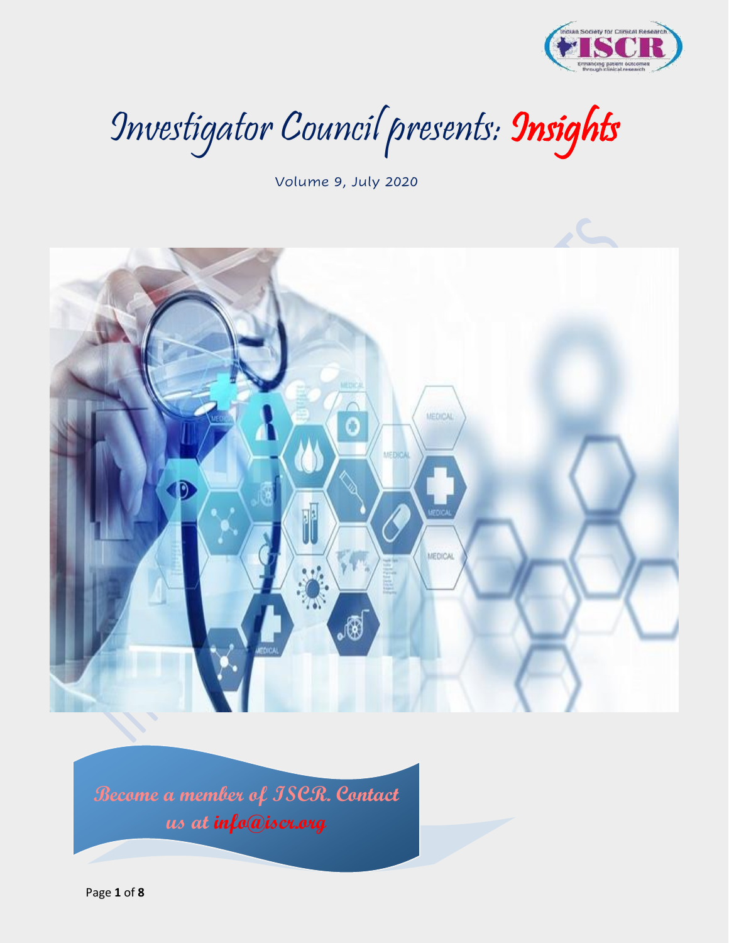

Investigator Council presents: Insights

Volume 9, July 2020



**Become a member of ISCR. Contact us at info@iscr.org**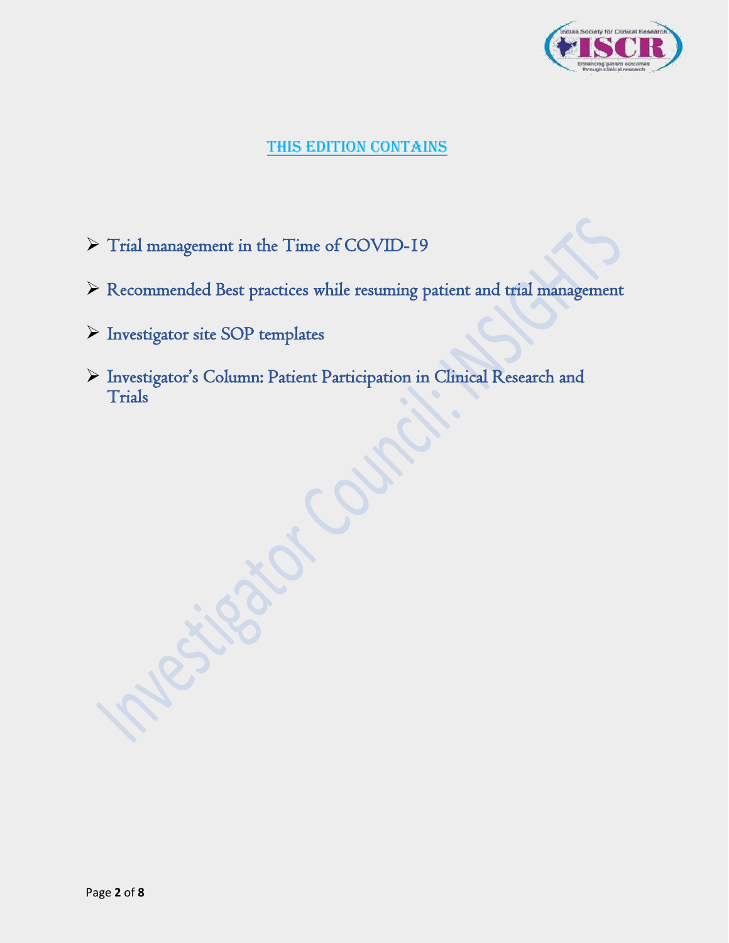

## THIS EDITION CONTAINS

- ➢ Trial management in the Time of COVID-19
- ➢ Recommended Best practices while resuming patient and trial management
- ➢ Investigator site SOP templates
- ➢ Investigator's Column: Patient Participation in Clinical Research and Trials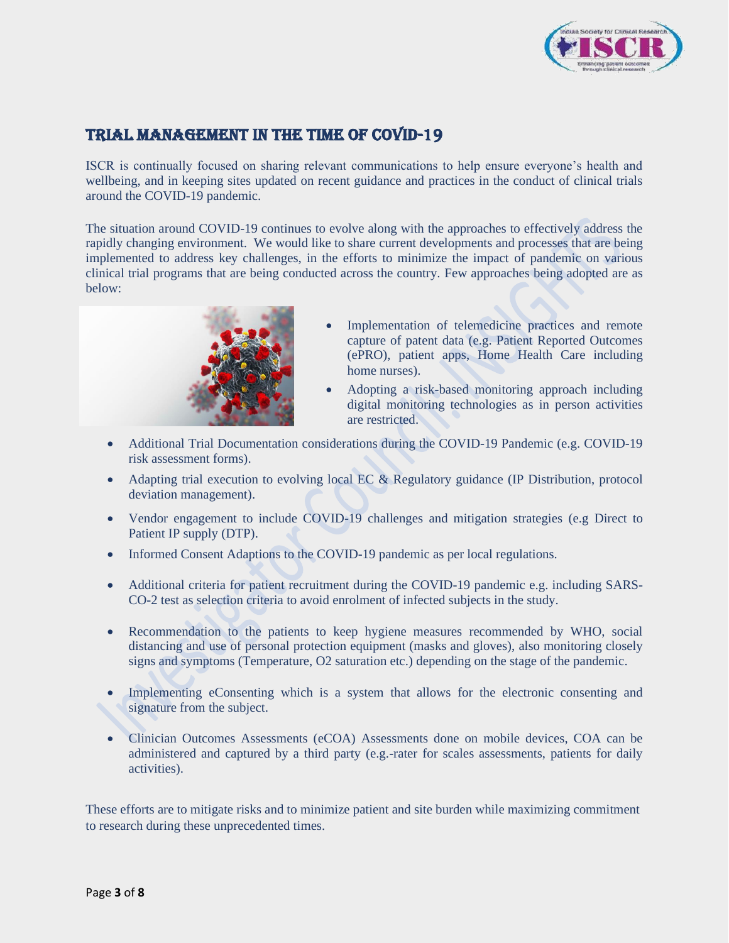

## Trial MANAGEMENT in the time of COVID-19

ISCR is continually focused on sharing relevant communications to help ensure everyone's health and wellbeing, and in keeping sites updated on recent guidance and practices in the conduct of clinical trials around the COVID-19 pandemic.

The situation around COVID-19 continues to evolve along with the approaches to effectively address the rapidly changing environment. We would like to share current developments and processes that are being implemented to address key challenges, in the efforts to minimize the impact of pandemic on various clinical trial programs that are being conducted across the country. Few approaches being adopted are as below:



- Implementation of telemedicine practices and remote capture of patent data (e.g. Patient Reported Outcomes (ePRO), patient apps, Home Health Care including home nurses).
- Adopting a risk-based monitoring approach including digital monitoring technologies as in person activities are restricted.
- Additional Trial Documentation considerations during the COVID-19 Pandemic (e.g. COVID-19 risk assessment forms).
- Adapting trial execution to evolving local EC & Regulatory guidance (IP Distribution, protocol deviation management).
- Vendor engagement to include COVID-19 challenges and mitigation strategies (e.g Direct to Patient IP supply (DTP).
- Informed Consent Adaptions to the COVID-19 pandemic as per local regulations.
- Additional criteria for patient recruitment during the COVID-19 pandemic e.g. including SARS-CO-2 test as selection criteria to avoid enrolment of infected subjects in the study.
- Recommendation to the patients to keep hygiene measures recommended by WHO, social distancing and use of personal protection equipment (masks and gloves), also monitoring closely signs and symptoms (Temperature, O2 saturation etc.) depending on the stage of the pandemic.
- Implementing eConsenting which is a system that allows for the electronic consenting and signature from the subject.
- Clinician Outcomes Assessments (eCOA) Assessments done on mobile devices, COA can be administered and captured by a third party (e.g.-rater for scales assessments, patients for daily activities).

These efforts are to mitigate risks and to minimize patient and site burden while maximizing commitment to research during these unprecedented times.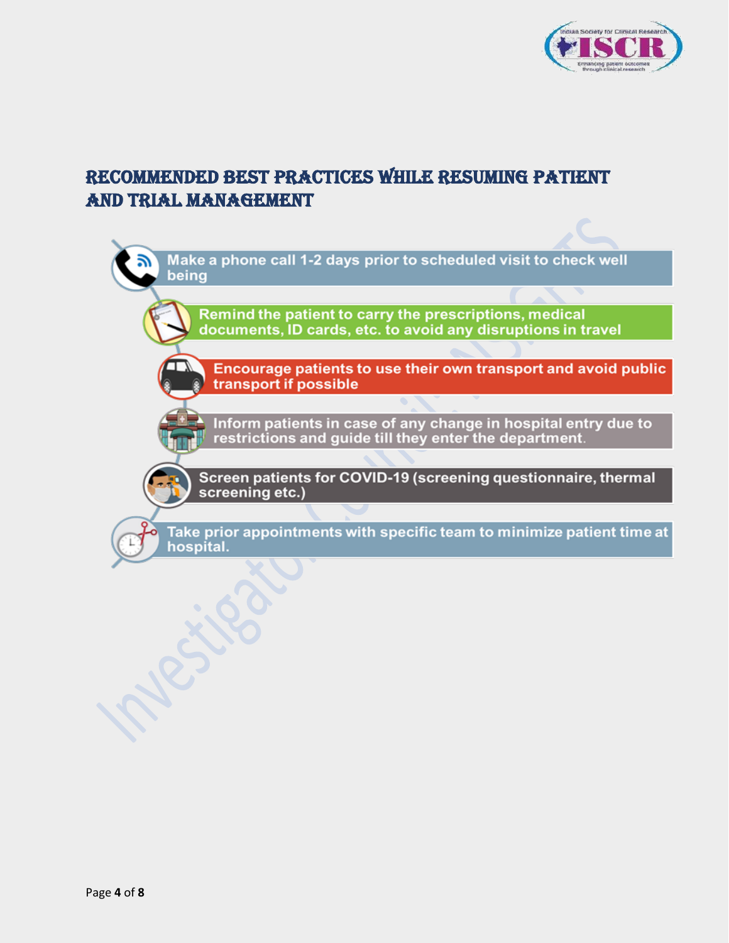

# Recommended Best practices while resuming patient and trial management

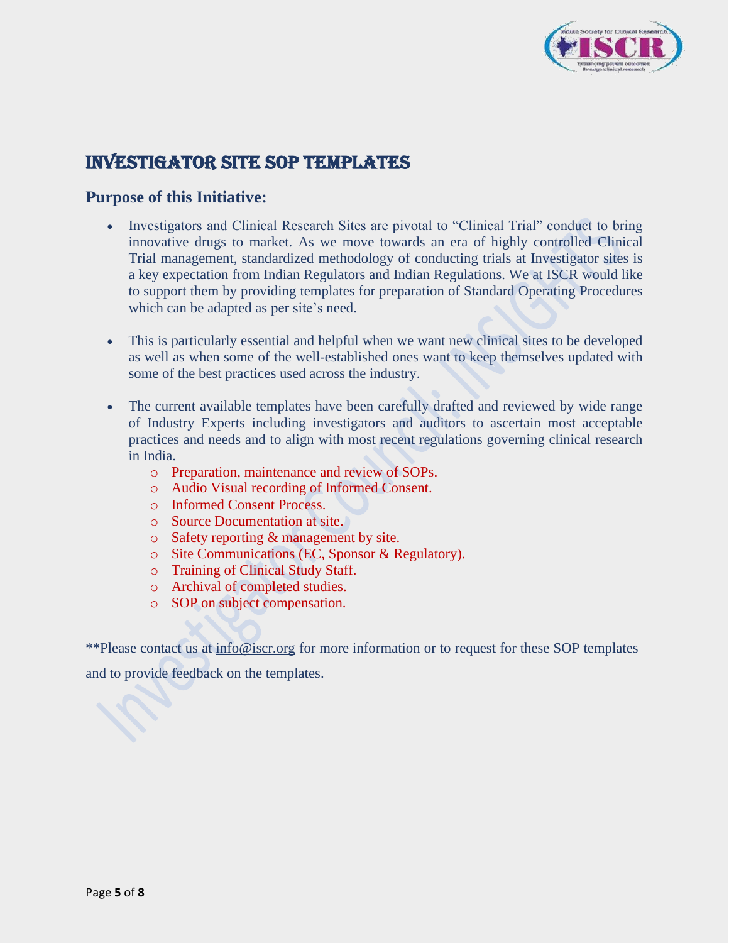

# INVESTIGATOR SITE SOP TEMPLATES

### **Purpose of this Initiative:**

- Investigators and Clinical Research Sites are pivotal to "Clinical Trial" conduct to bring innovative drugs to market. As we move towards an era of highly controlled Clinical Trial management, standardized methodology of conducting trials at Investigator sites is a key expectation from Indian Regulators and Indian Regulations. We at ISCR would like to support them by providing templates for preparation of Standard Operating Procedures which can be adapted as per site's need.
- This is particularly essential and helpful when we want new clinical sites to be developed as well as when some of the well-established ones want to keep themselves updated with some of the best practices used across the industry.
- The current available templates have been carefully drafted and reviewed by wide range of Industry Experts including investigators and auditors to ascertain most acceptable practices and needs and to align with most recent regulations governing clinical research in India.
	- o Preparation, maintenance and review of SOPs.
	- o Audio Visual recording of Informed Consent.
	- o Informed Consent Process.
	- o Source Documentation at site.
	- o Safety reporting & management by site.
	- o Site Communications (EC, Sponsor & Regulatory).
	- o Training of Clinical Study Staff.
	- o Archival of completed studies.
	- o SOP on subject compensation.

\*\*Please contact us at [info@iscr.org](mailto:info@iscr.org) for more information or to request for these SOP templates and to provide feedback on the templates.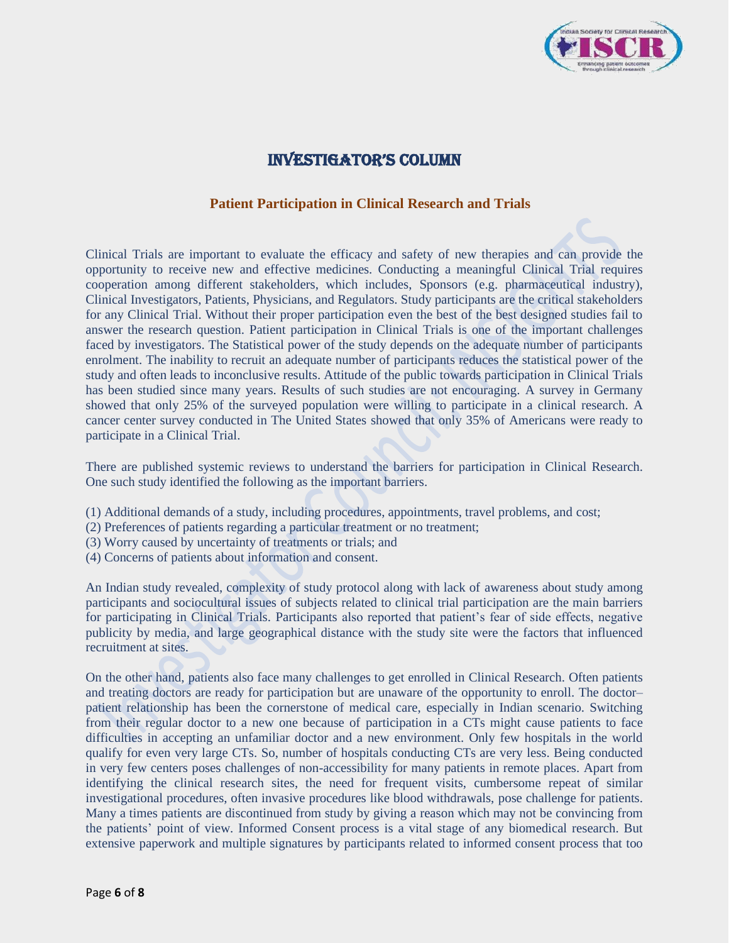

### Investigator's Column

#### **Patient Participation in Clinical Research and Trials**

Clinical Trials are important to evaluate the efficacy and safety of new therapies and can provide the opportunity to receive new and effective medicines. Conducting a meaningful Clinical Trial requires cooperation among different stakeholders, which includes, Sponsors (e.g. pharmaceutical industry), Clinical Investigators, Patients, Physicians, and Regulators. Study participants are the critical stakeholders for any Clinical Trial. Without their proper participation even the best of the best designed studies fail to answer the research question. Patient participation in Clinical Trials is one of the important challenges faced by investigators. The Statistical power of the study depends on the adequate number of participants enrolment. The inability to recruit an adequate number of participants reduces the statistical power of the study and often leads to inconclusive results. Attitude of the public towards participation in Clinical Trials has been studied since many years. Results of such studies are not encouraging. A survey in Germany showed that only 25% of the surveyed population were willing to participate in a clinical research. A cancer center survey conducted in The United States showed that only 35% of Americans were ready to participate in a Clinical Trial.

There are published systemic reviews to understand the barriers for participation in Clinical Research. One such study identified the following as the important barriers.

- (1) Additional demands of a study, including procedures, appointments, travel problems, and cost;
- (2) Preferences of patients regarding a particular treatment or no treatment;
- (3) Worry caused by uncertainty of treatments or trials; and
- (4) Concerns of patients about information and consent.

An Indian study revealed, complexity of study protocol along with lack of awareness about study among participants and sociocultural issues of subjects related to clinical trial participation are the main barriers for participating in Clinical Trials. Participants also reported that patient's fear of side effects, negative publicity by media, and large geographical distance with the study site were the factors that influenced recruitment at sites.

On the other hand, patients also face many challenges to get enrolled in Clinical Research. Often patients and treating doctors are ready for participation but are unaware of the opportunity to enroll. The doctor– patient relationship has been the cornerstone of medical care, especially in Indian scenario. Switching from their regular doctor to a new one because of participation in a CTs might cause patients to face difficulties in accepting an unfamiliar doctor and a new environment. Only few hospitals in the world qualify for even very large CTs. So, number of hospitals conducting CTs are very less. Being conducted in very few centers poses challenges of non-accessibility for many patients in remote places. Apart from identifying the clinical research sites, the need for frequent visits, cumbersome repeat of similar investigational procedures, often invasive procedures like blood withdrawals, pose challenge for patients. Many a times patients are discontinued from study by giving a reason which may not be convincing from the patients' point of view. Informed Consent process is a vital stage of any biomedical research. But extensive paperwork and multiple signatures by participants related to informed consent process that too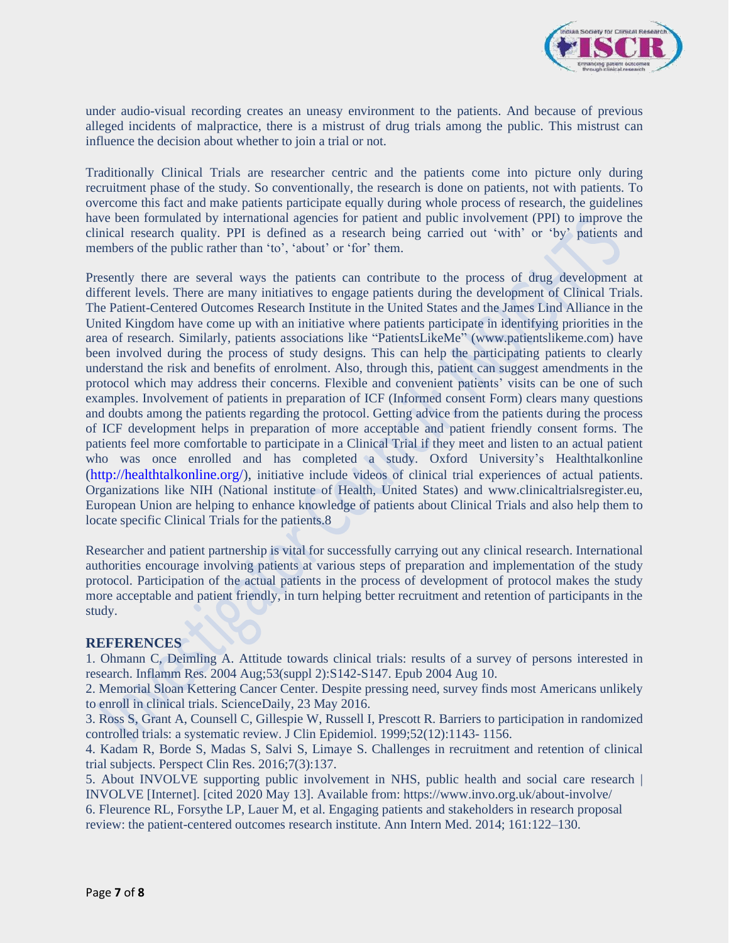

under audio-visual recording creates an uneasy environment to the patients. And because of previous alleged incidents of malpractice, there is a mistrust of drug trials among the public. This mistrust can influence the decision about whether to join a trial or not.

Traditionally Clinical Trials are researcher centric and the patients come into picture only during recruitment phase of the study. So conventionally, the research is done on patients, not with patients. To overcome this fact and make patients participate equally during whole process of research, the guidelines have been formulated by international agencies for patient and public involvement (PPI) to improve the clinical research quality. PPI is defined as a research being carried out 'with' or 'by' patients and members of the public rather than 'to', 'about' or 'for' them.

Presently there are several ways the patients can contribute to the process of drug development at different levels. There are many initiatives to engage patients during the development of Clinical Trials. The Patient-Centered Outcomes Research Institute in the United States and the James Lind Alliance in the United Kingdom have come up with an initiative where patients participate in identifying priorities in the area of research. Similarly, patients associations like "PatientsLikeMe" (www.patientslikeme.com) have been involved during the process of study designs. This can help the participating patients to clearly understand the risk and benefits of enrolment. Also, through this, patient can suggest amendments in the protocol which may address their concerns. Flexible and convenient patients' visits can be one of such examples. Involvement of patients in preparation of ICF (Informed consent Form) clears many questions and doubts among the patients regarding the protocol. Getting advice from the patients during the process of ICF development helps in preparation of more acceptable and patient friendly consent forms. The patients feel more comfortable to participate in a Clinical Trial if they meet and listen to an actual patient who was once enrolled and has completed a study. Oxford University's Healthtalkonline (http://healthtalkonline.org/), initiative include videos of clinical trial experiences of actual patients. Organizations like NIH (National institute of Health, United States) and www.clinicaltrialsregister.eu, European Union are helping to enhance knowledge of patients about Clinical Trials and also help them to locate specific Clinical Trials for the patients.8

Researcher and patient partnership is vital for successfully carrying out any clinical research. International authorities encourage involving patients at various steps of preparation and implementation of the study protocol. Participation of the actual patients in the process of development of protocol makes the study more acceptable and patient friendly, in turn helping better recruitment and retention of participants in the study.

#### **REFERENCES**

1. Ohmann C, Deimling A. Attitude towards clinical trials: results of a survey of persons interested in research. Inflamm Res. 2004 Aug;53(suppl 2):S142-S147. Epub 2004 Aug 10.

2. Memorial Sloan Kettering Cancer Center. Despite pressing need, survey finds most Americans unlikely to enroll in clinical trials. ScienceDaily, 23 May 2016.

3. Ross S, Grant A, Counsell C, Gillespie W, Russell I, Prescott R. Barriers to participation in randomized controlled trials: a systematic review. J Clin Epidemiol. 1999;52(12):1143- 1156.

4. Kadam R, Borde S, Madas S, Salvi S, Limaye S. Challenges in recruitment and retention of clinical trial subjects. Perspect Clin Res. 2016;7(3):137.

5. About INVOLVE supporting public involvement in NHS, public health and social care research | INVOLVE [Internet]. [cited 2020 May 13]. Available from: https://www.invo.org.uk/about-involve/

6. Fleurence RL, Forsythe LP, Lauer M, et al. Engaging patients and stakeholders in research proposal review: the patient-centered outcomes research institute. Ann Intern Med. 2014; 161:122–130.